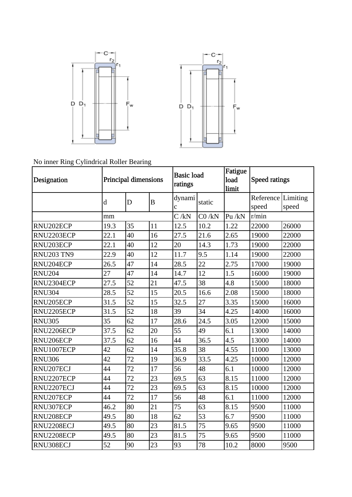



No inner Ring Cylindrical Roller Bearing

| Designation       | Principal dimensions |    |    | <b>Basic load</b><br>ratings |         | Fatigue | Speed ratings             |       |
|-------------------|----------------------|----|----|------------------------------|---------|---------|---------------------------|-------|
|                   |                      |    |    |                              |         | load    |                           |       |
|                   |                      |    |    |                              |         | limit   |                           |       |
|                   | $\mathbf d$          | D  | B  | dynami                       | static  |         | <b>Reference Limiting</b> |       |
|                   |                      |    |    | $\mathbf c$                  |         |         | speed                     | speed |
|                   | mm                   |    |    | C/kN                         | CO / kN | Pu/kN   | r/min                     |       |
| RNU202ECP         | 19.3                 | 35 | 11 | 12.5                         | 10.2    | 1.22    | 22000                     | 26000 |
| RNU2203ECP        | 22.1                 | 40 | 16 | 27.5                         | 21.6    | 2.65    | 19000                     | 22000 |
| RNU203ECP         | 22.1                 | 40 | 12 | 20                           | 14.3    | 1.73    | 19000                     | 22000 |
| <b>RNU203 TN9</b> | 22.9                 | 40 | 12 | 11.7                         | 9.5     | 1.14    | 19000                     | 22000 |
| RNU204ECP         | 26.5                 | 47 | 14 | 28.5                         | 22      | 2.75    | 17000                     | 19000 |
| <b>RNU204</b>     | 27                   | 47 | 14 | 14.7                         | 12      | 1.5     | 16000                     | 19000 |
| RNU2304ECP        | 27.5                 | 52 | 21 | 47.5                         | 38      | 4.8     | 15000                     | 18000 |
| <b>RNU304</b>     | 28.5                 | 52 | 15 | 20.5                         | 16.6    | 2.08    | 15000                     | 18000 |
| RNU205ECP         | 31.5                 | 52 | 15 | 32.5                         | 27      | 3.35    | 15000                     | 16000 |
| RNU2205ECP        | 31.5                 | 52 | 18 | 39                           | 34      | 4.25    | 14000                     | 16000 |
| <b>RNU305</b>     | 35                   | 62 | 17 | 28.6                         | 24.5    | 3.05    | 12000                     | 15000 |
| RNU2206ECP        | 37.5                 | 62 | 20 | 55                           | 49      | 6.1     | 13000                     | 14000 |
| RNU206ECP         | 37.5                 | 62 | 16 | 44                           | 36.5    | 4.5     | 13000                     | 14000 |
| RNU1007ECP        | 42                   | 62 | 14 | 35.8                         | 38      | 4.55    | 11000                     | 13000 |
| <b>RNU306</b>     | 42                   | 72 | 19 | 36.9                         | 33.5    | 4.25    | 10000                     | 12000 |
| RNU207ECJ         | 44                   | 72 | 17 | 56                           | 48      | 6.1     | 10000                     | 12000 |
| RNU2207ECP        | 44                   | 72 | 23 | 69.5                         | 63      | 8.15    | 11000                     | 12000 |
| RNU2207ECJ        | 44                   | 72 | 23 | 69.5                         | 63      | 8.15    | 10000                     | 12000 |
| RNU207ECP         | 44                   | 72 | 17 | 56                           | 48      | 6.1     | 11000                     | 12000 |
| RNU307ECP         | 46.2                 | 80 | 21 | 75                           | 63      | 8.15    | 9500                      | 11000 |
| RNU208ECP         | 49.5                 | 80 | 18 | 62                           | 53      | 6.7     | 9500                      | 11000 |
| RNU2208ECJ        | 49.5                 | 80 | 23 | 81.5                         | 75      | 9.65    | 9500                      | 11000 |
| RNU2208ECP        | 49.5                 | 80 | 23 | 81.5                         | 75      | 9.65    | 9500                      | 11000 |
| RNU308ECJ         | 52                   | 90 | 23 | 93                           | 78      | 10.2    | 8000                      | 9500  |